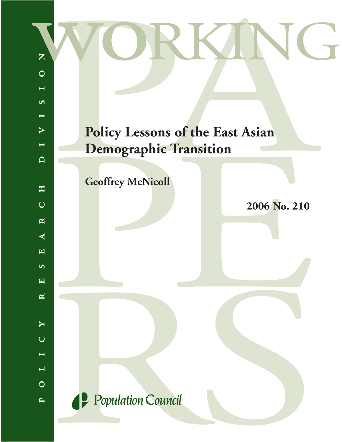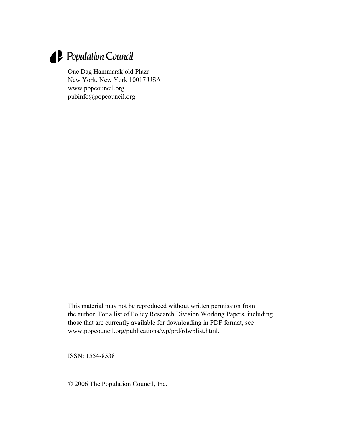# Population Council

One Dag Hammarskjold Plaza New York, New York 10017 USA [www.popcouncil.org](http://www.popcouncil.org/) pubinfo@popcouncil.org

This material may not be reproduced without written permission from the author. For a list of Policy Research Division Working Papers, including those that are currently available for downloading in PDF format, see [www.popcouncil.org/publications/wp/prd/rdwplist.html](http://www.popcouncil.org/publications/wp/prd/rdwplist.html).

ISSN: 1554-8538

© 2006 The Population Council, Inc.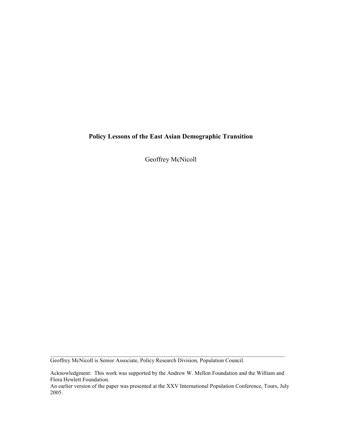# **Policy Lessons of the East Asian Demographic Transition**

Geoffrey McNicoll

Geoffrey McNicoll is Senior Associate, Policy Research Division, Population Council.

Acknowledgment: This work was supported by the Andrew W. Mellon Foundation and the William and Flora Hewlett Foundation.

 $\mathcal{L}_\mathcal{L} = \{ \mathcal{L}_\mathcal{L} = \{ \mathcal{L}_\mathcal{L} = \{ \mathcal{L}_\mathcal{L} = \{ \mathcal{L}_\mathcal{L} = \{ \mathcal{L}_\mathcal{L} = \{ \mathcal{L}_\mathcal{L} = \{ \mathcal{L}_\mathcal{L} = \{ \mathcal{L}_\mathcal{L} = \{ \mathcal{L}_\mathcal{L} = \{ \mathcal{L}_\mathcal{L} = \{ \mathcal{L}_\mathcal{L} = \{ \mathcal{L}_\mathcal{L} = \{ \mathcal{L}_\mathcal{L} = \{ \mathcal{L}_\mathcal{$ 

An earlier version of the paper was presented at the XXV International Population Conference, Tours, July 2005.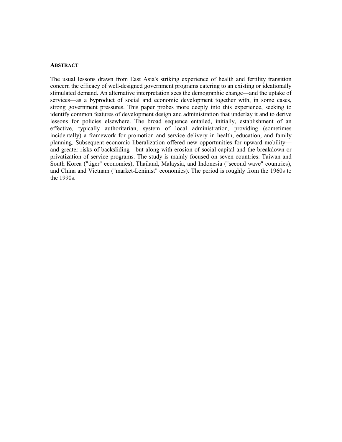#### **ABSTRACT**

The usual lessons drawn from East Asia's striking experience of health and fertility transition concern the efficacy of well-designed government programs catering to an existing or ideationally stimulated demand. An alternative interpretation sees the demographic change—and the uptake of services—as a byproduct of social and economic development together with, in some cases, strong government pressures. This paper probes more deeply into this experience, seeking to identify common features of development design and administration that underlay it and to derive lessons for policies elsewhere. The broad sequence entailed, initially, establishment of an effective, typically authoritarian, system of local administration, providing (sometimes incidentally) a framework for promotion and service delivery in health, education, and family planning. Subsequent economic liberalization offered new opportunities for upward mobility and greater risks of backsliding—but along with erosion of social capital and the breakdown or privatization of service programs. The study is mainly focused on seven countries: Taiwan and South Korea ("tiger" economies), Thailand, Malaysia, and Indonesia ("second wave" countries), and China and Vietnam ("market-Leninist" economies). The period is roughly from the 1960s to the 1990s.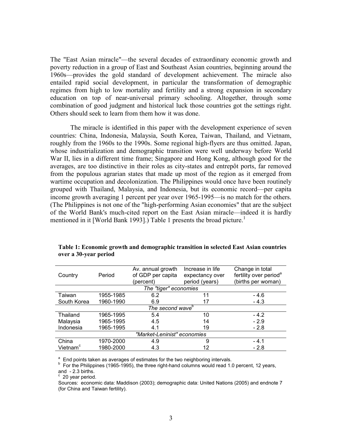The "East Asian miracle"—the several decades of extraordinary economic growth and poverty reduction in a group of East and Southeast Asian countries, beginning around the 1960s—provides the gold standard of development achievement. The miracle also entailed rapid social development, in particular the transformation of demographic regimes from high to low mortality and fertility and a strong expansion in secondary education on top of near-universal primary schooling. Altogether, through some combination of good judgment and historical luck those countries got the settings right. Others should seek to learn from them how it was done.

 The miracle is identified in this paper with the development experience of seven countries: China, Indonesia, Malaysia, South Korea, Taiwan, Thailand, and Vietnam, roughly from the 1960s to the 1990s. Some regional high-flyers are thus omitted. Japan, whose industrialization and demographic transition were well underway before World War II, lies in a different time frame; Singapore and Hong Kong, although good for the averages, are too distinctive in their roles as city-states and entrepôt ports, far removed from the populous agrarian states that made up most of the region as it emerged from wartime occupation and decolonization. The Philippines would once have been routinely grouped with Thailand, Malaysia, and Indonesia, but its economic record—per capita income growth averaging 1 percent per year over 1965-1995—is no match for the others. (The Philippines is not one of the "high-performing Asian economies" that are the subject of the World Bank's much-cited report on the East Asian miracle—indeed it is hardly mentioned in it [World Bank [1](#page-21-0)993].) Table 1 presents the broad picture.<sup>1</sup>

|                              |           | Av. annual growth | Increase in life | Change in total                    |  |  |  |  |  |
|------------------------------|-----------|-------------------|------------------|------------------------------------|--|--|--|--|--|
| Country                      | Period    | of GDP per capita | expectancy over  | fertility over period <sup>a</sup> |  |  |  |  |  |
|                              |           | (percent)         | period (years)   | (births per woman)                 |  |  |  |  |  |
| The "tiger" economies        |           |                   |                  |                                    |  |  |  |  |  |
| Taiwan                       | 1955-1985 | 6.2               | 11               | - 4.6                              |  |  |  |  |  |
| South Korea                  | 1960-1990 | 6.9               | 17               | $-4.3$                             |  |  |  |  |  |
| The second wave <sup>b</sup> |           |                   |                  |                                    |  |  |  |  |  |
| Thailand                     | 1965-1995 | 5.4               | 10               | $-4.2$                             |  |  |  |  |  |
| Malaysia                     | 1965-1995 | 4.5               | 14               | $-2.9$                             |  |  |  |  |  |
| Indonesia                    | 1965-1995 | 4.1               | 19               | $-2.8$                             |  |  |  |  |  |
| "Market-Leninist" economies  |           |                   |                  |                                    |  |  |  |  |  |
| China                        | 1970-2000 | 4.9               | 9                | $-4.1$                             |  |  |  |  |  |
| Vietnam <sup>c</sup>         | 1980-2000 | 4.3               | 12               | $-2.8$                             |  |  |  |  |  |

**Table 1: Economic growth and demographic transition in selected East Asian countries over a 30-year period** 

<sup>a</sup> End points taken as averages of estimates for the two neighboring intervals.<br><sup>b</sup> For the Philippines (1965-1995), the three right-hand columns would read 1.0 percent, 12 years,

and - 2.3 births. <sup>c</sup> 20 year period.

Sources: economic data: Maddison (2003); demographic data: United Nations (2005) and endnote 7 (for China and Taiwan fertility).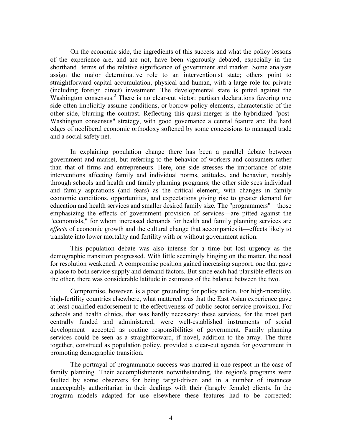On the economic side, the ingredients of this success and what the policy lessons of the experience are, and are not, have been vigorously debated, especially in the shorthand terms of the relative significance of government and market. Some analysts assign the major determinative role to an interventionist state; others point to straightforward capital accumulation, physical and human, with a large role for private (including foreign direct) investment. The developmental state is pitted against the Washington consensus.<sup>[2](#page-21-0)</sup> There is no clear-cut victor: partisan declarations favoring one side often implicitly assume conditions, or borrow policy elements, characteristic of the other side, blurring the contrast. Reflecting this quasi-merger is the hybridized "post-Washington consensus" strategy, with good governance a central feature and the hard edges of neoliberal economic orthodoxy softened by some concessions to managed trade and a social safety net.

In explaining population change there has been a parallel debate between government and market, but referring to the behavior of workers and consumers rather than that of firms and entrepreneurs. Here, one side stresses the importance of state interventions affecting family and individual norms, attitudes, and behavior, notably through schools and health and family planning programs; the other side sees individual and family aspirations (and fears) as the critical element, with changes in family economic conditions, opportunities, and expectations giving rise to greater demand for education and health services and smaller desired family size. The "programmers"—those emphasizing the effects of government provision of services—are pitted against the "economists," for whom increased demands for health and family planning services are *effects* of economic growth and the cultural change that accompanies it—effects likely to translate into lower mortality and fertility with or without government action.

 This population debate was also intense for a time but lost urgency as the demographic transition progressed. With little seemingly hinging on the matter, the need for resolution weakened. A compromise position gained increasing support, one that gave a place to both service supply and demand factors. But since each had plausible effects on the other, there was considerable latitude in estimates of the balance between the two.

 Compromise, however, is a poor grounding for policy action. For high-mortality, high-fertility countries elsewhere, what mattered was that the East Asian experience gave at least qualified endorsement to the effectiveness of public-sector service provision. For schools and health clinics, that was hardly necessary: these services, for the most part centrally funded and administered, were well-established instruments of social development—accepted as routine responsibilities of government. Family planning services could be seen as a straightforward, if novel, addition to the array. The three together, construed as population policy, provided a clear-cut agenda for government in promoting demographic transition.

 The portrayal of programmatic success was marred in one respect in the case of family planning. Their accomplishments notwithstanding, the region's programs were faulted by some observers for being target-driven and in a number of instances unacceptably authoritarian in their dealings with their (largely female) clients. In the program models adapted for use elsewhere these features had to be corrected: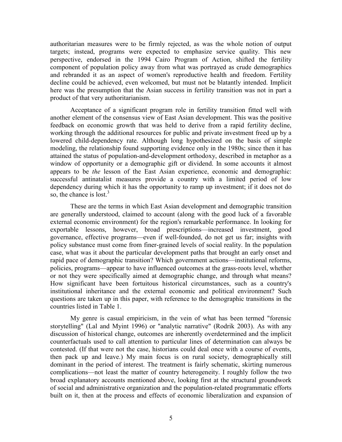authoritarian measures were to be firmly rejected, as was the whole notion of output targets; instead, programs were expected to emphasize service quality. This new perspective, endorsed in the 1994 Cairo Program of Action, shifted the fertility component of population policy away from what was portrayed as crude demographics and rebranded it as an aspect of women's reproductive health and freedom. Fertility decline could be achieved, even welcomed, but must not be blatantly intended. Implicit here was the presumption that the Asian success in fertility transition was not in part a product of that very authoritarianism.

 Acceptance of a significant program role in fertility transition fitted well with another element of the consensus view of East Asian development. This was the positive feedback on economic growth that was held to derive from a rapid fertility decline, working through the additional resources for public and private investment freed up by a lowered child-dependency rate. Although long hypothesized on the basis of simple modeling, the relationship found supporting evidence only in the 1980s; since then it has attained the status of population-and-development orthodoxy, described in metaphor as a window of opportunity or a demographic gift or dividend. In some accounts it almost appears to be *the* lesson of the East Asian experience, economic and demographic: successful antinatalist measures provide a country with a limited period of low dependency during which it has the opportunity to ramp up investment; if it does not do so, the chance is lost. $3$ 

These are the terms in which East Asian development and demographic transition are generally understood, claimed to account (along with the good luck of a favorable external economic environment) for the region's remarkable performance. In looking for exportable lessons, however, broad prescriptions—increased investment, good governance, effective programs—even if well-founded, do not get us far; insights with policy substance must come from finer-grained levels of social reality. In the population case, what was it about the particular development paths that brought an early onset and rapid pace of demographic transition? Which government actions—institutional reforms, policies, programs—appear to have influenced outcomes at the grass-roots level, whether or not they were specifically aimed at demographic change, and through what means? How significant have been fortuitous historical circumstances, such as a country's institutional inheritance and the external economic and political environment? Such questions are taken up in this paper, with reference to the demographic transitions in the countries listed in Table 1.

 My genre is casual empiricism, in the vein of what has been termed "forensic storytelling" (Lal and Myint 1996) or "analytic narrative" (Rodrik 2003). As with any discussion of historical change, outcomes are inherently overdetermined and the implicit counterfactuals used to call attention to particular lines of determination can always be contested. (If that were not the case, historians could deal once with a course of events, then pack up and leave.) My main focus is on rural society, demographically still dominant in the period of interest. The treatment is fairly schematic, skirting numerous complications—not least the matter of country heterogeneity. I roughly follow the two broad explanatory accounts mentioned above, looking first at the structural groundwork of social and administrative organization and the population-related programmatic efforts built on it, then at the process and effects of economic liberalization and expansion of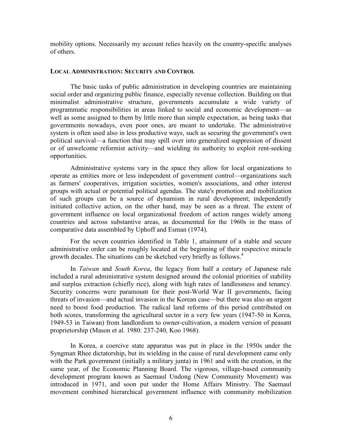mobility options. Necessarily my account relies heavily on the country-specific analyses of others.

#### **LOCAL ADMINISTRATION: SECURITY AND CONTROL**

The basic tasks of public administration in developing countries are maintaining social order and organizing public finance, especially revenue collection. Building on that minimalist administrative structure, governments accumulate a wide variety of programmatic responsibilities in areas linked to social and economic development—as well as some assigned to them by little more than simple expectation, as being tasks that governments nowadays, even poor ones, are meant to undertake. The administrative system is often used also in less productive ways, such as securing the government's own political survival—a function that may spill over into generalized suppression of dissent or of unwelcome reformist activity—and wielding its authority to exploit rent-seeking opportunities.

 Administrative systems vary in the space they allow for local organizations to operate as entities more or less independent of government control—organizations such as farmers' cooperatives, irrigation societies, women's associations, and other interest groups with actual or potential political agendas. The state's promotion and mobilization of such groups can be a source of dynamism in rural development; independently initiated collective action, on the other hand, may be seen as a threat. The extent of government influence on local organizational freedom of action ranges widely among countries and across substantive areas, as documented for the 1960s in the mass of comparative data assembled by Uphoff and Esman (1974).

 For the seven countries identified in Table 1, attainment of a stable and secure administrative order can be roughly located at the beginning of their respective miracle growth decades. The situations can be sketched very briefly as follows.<sup>[4](#page-21-0)</sup>

In *Taiwan* and *South Korea*, the legacy from half a century of Japanese rule included a rural administrative system designed around the colonial priorities of stability and surplus extraction (chiefly rice), along with high rates of landlessness and tenancy. Security concerns were paramount for their post-World War II governments, facing threats of invasion—and actual invasion in the Korean case—but there was also an urgent need to boost food production. The radical land reforms of this period contributed on both scores, transforming the agricultural sector in a very few years (1947-50 in Korea, 1949-53 in Taiwan) from landlordism to owner-cultivation, a modern version of peasant proprietorship (Mason et al. 1980: 237-240, Koo 1968).

In Korea, a coercive state apparatus was put in place in the 1950s under the Syngman Rhee dictatorship, but its wielding in the cause of rural development came only with the Park government (initially a military junta) in 1961 and with the creation, in the same year, of the Economic Planning Board. The vigorous, village-based community development program known as Saemaul Undong (New Community Movement) was introduced in 1971, and soon put under the Home Affairs Ministry. The Saemaul movement combined hierarchical government influence with community mobilization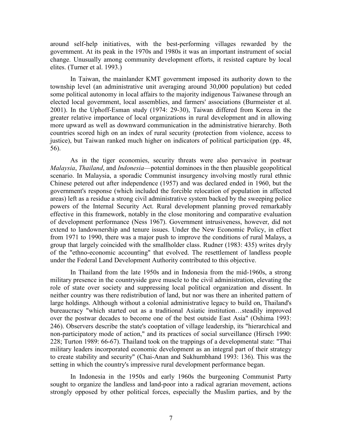around self-help initiatives, with the best-performing villages rewarded by the government. At its peak in the 1970s and 1980s it was an important instrument of social change. Unusually among community development efforts, it resisted capture by local elites. (Turner et al. 1993.)

 In Taiwan, the mainlander KMT government imposed its authority down to the township level (an administrative unit averaging around 30,000 population) but ceded some political autonomy in local affairs to the majority indigenous Taiwanese through an elected local government, local assemblies, and farmers' associations (Burmeister et al. 2001). In the Uphoff-Esman study (1974: 29-30), Taiwan differed from Korea in the greater relative importance of local organizations in rural development and in allowing more upward as well as downward communication in the administrative hierarchy. Both countries scored high on an index of rural security (protection from violence, access to justice), but Taiwan ranked much higher on indicators of political participation (pp. 48, 56).

 As in the tiger economies, security threats were also pervasive in postwar *Malaysia*, *Thailand*, and *Indonesia*—potential dominoes in the then plausible geopolitical scenario. In Malaysia, a sporadic Communist insurgency involving mostly rural ethnic Chinese petered out after independence (1957) and was declared ended in 1960, but the government's response (which included the forcible relocation of population in affected areas) left as a residue a strong civil administrative system backed by the sweeping police powers of the Internal Security Act. Rural development planning proved remarkably effective in this framework, notably in the close monitoring and comparative evaluation of development performance (Ness 1967). Government intrusiveness, however, did not extend to landownership and tenure issues. Under the New Economic Policy, in effect from 1971 to 1990, there was a major push to improve the conditions of rural Malays, a group that largely coincided with the smallholder class. Rudner (1983: 435) writes dryly of the "ethno-economic accounting" that evolved. The resettlement of landless people under the Federal Land Development Authority contributed to this objective.

 In Thailand from the late 1950s and in Indonesia from the mid-1960s, a strong military presence in the countryside gave muscle to the civil administration, elevating the role of state over society and suppressing local political organization and dissent. In neither country was there redistribution of land, but nor was there an inherited pattern of large holdings. Although without a colonial administrative legacy to build on, Thailand's bureaucracy "which started out as a traditional Asiatic institution…steadily improved over the postwar decades to become one of the best outside East Asia" (Oshima 1993: 246). Observers describe the state's cooptation of village leadership, its "hierarchical and non-participatory mode of action," and its practices of social surveillance (Hirsch 1990: 228; Turton 1989: 66-67). Thailand took on the trappings of a developmental state: "Thai military leaders incorporated economic development as an integral part of their strategy to create stability and security" (Chai-Anan and Sukhumbhand 1993: 136). This was the setting in which the country's impressive rural development performance began.

 In Indonesia in the 1950s and early 1960s the burgeoning Communist Party sought to organize the landless and land-poor into a radical agrarian movement, actions strongly opposed by other political forces, especially the Muslim parties, and by the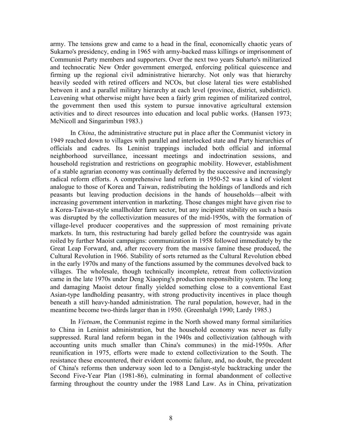army. The tensions grew and came to a head in the final, economically chaotic years of Sukarno's presidency, ending in 1965 with army-backed mass killings or imprisonment of Communist Party members and supporters. Over the next two years Suharto's militarized and technocratic New Order government emerged, enforcing political quiescence and firming up the regional civil administrative hierarchy. Not only was that hierarchy heavily seeded with retired officers and NCOs, but close lateral ties were established between it and a parallel military hierarchy at each level (province, district, subdistrict). Leavening what otherwise might have been a fairly grim regimen of militarized control, the government then used this system to pursue innovative agricultural extension activities and to direct resources into education and local public works. (Hansen 1973; McNicoll and Singarimbun 1983.)

 In *China*, the administrative structure put in place after the Communist victory in 1949 reached down to villages with parallel and interlocked state and Party hierarchies of officials and cadres. Its Leninist trappings included both official and informal neighborhood surveillance, incessant meetings and indoctrination sessions, and household registration and restrictions on geographic mobility. However, establishment of a stable agrarian economy was continually deferred by the successive and increasingly radical reform efforts. A comprehensive land reform in 1950-52 was a kind of violent analogue to those of Korea and Taiwan, redistributing the holdings of landlords and rich peasants but leaving production decisions in the hands of households—albeit with increasing government intervention in marketing. Those changes might have given rise to a Korea-Taiwan-style smallholder farm sector, but any incipient stability on such a basis was disrupted by the collectivization measures of the mid-1950s, with the formation of village-level producer cooperatives and the suppression of most remaining private markets. In turn, this restructuring had barely gelled before the countryside was again roiled by further Maoist campaigns: communization in 1958 followed immediately by the Great Leap Forward, and, after recovery from the massive famine these produced, the Cultural Revolution in 1966. Stability of sorts returned as the Cultural Revolution ebbed in the early 1970s and many of the functions assumed by the communes devolved back to villages. The wholesale, though technically incomplete, retreat from collectivization came in the late 1970s under Deng Xiaoping's production responsibility system. The long and damaging Maoist detour finally yielded something close to a conventional East Asian-type landholding peasantry, with strong productivity incentives in place though beneath a still heavy-handed administration. The rural population, however, had in the meantime become two-thirds larger than in 1950. (Greenhalgh 1990; Lardy 1985.)

 In *Vietnam*, the Communist regime in the North showed many formal similarities to China in Leninist administration, but the household economy was never as fully suppressed. Rural land reform began in the 1940s and collectivization (although with accounting units much smaller than China's communes) in the mid-1950s. After reunification in 1975, efforts were made to extend collectivization to the South. The resistance these encountered, their evident economic failure, and, no doubt, the precedent of China's reforms then underway soon led to a Dengist-style backtracking under the Second Five-Year Plan (1981-86), culminating in formal abandonment of collective farming throughout the country under the 1988 Land Law. As in China, privatization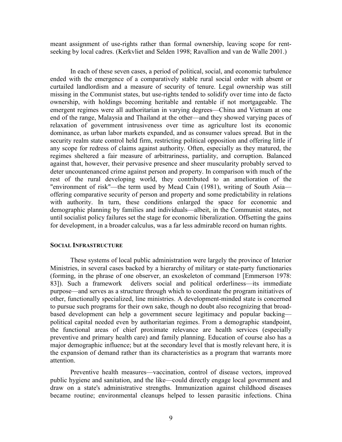meant assignment of use-rights rather than formal ownership, leaving scope for rentseeking by local cadres. (Kerkvliet and Selden 1998; Ravallion and van de Walle 2001.)

In each of these seven cases, a period of political, social, and economic turbulence ended with the emergence of a comparatively stable rural social order with absent or curtailed landlordism and a measure of security of tenure. Legal ownership was still missing in the Communist states, but use-rights tended to solidify over time into de facto ownership, with holdings becoming heritable and rentable if not mortgageable. The emergent regimes were all authoritarian in varying degrees—China and Vietnam at one end of the range, Malaysia and Thailand at the other—and they showed varying paces of relaxation of government intrusiveness over time as agriculture lost its economic dominance, as urban labor markets expanded, and as consumer values spread. But in the security realm state control held firm, restricting political opposition and offering little if any scope for redress of claims against authority. Often, especially as they matured, the regimes sheltered a fair measure of arbitrariness, partiality, and corruption. Balanced against that, however, their pervasive presence and sheer muscularity probably served to deter uncountenanced crime against person and property. In comparison with much of the rest of the rural developing world, they contributed to an amelioration of the "environment of risk"—the term used by Mead Cain (1981), writing of South Asia offering comparative security of person and property and some predictability in relations with authority. In turn, these conditions enlarged the space for economic and demographic planning by families and individuals—albeit, in the Communist states, not until socialist policy failures set the stage for economic liberalization. Offsetting the gains for development, in a broader calculus, was a far less admirable record on human rights.

#### **SOCIAL INFRASTRUCTURE**

These systems of local public administration were largely the province of Interior Ministries, in several cases backed by a hierarchy of military or state-party functionaries (forming, in the phrase of one observer, an exoskeleton of command [Emmerson 1978: 83]). Such a framework delivers social and political orderliness—its immediate purpose—and serves as a structure through which to coordinate the program initiatives of other, functionally specialized, line ministries. A development-minded state is concerned to pursue such programs for their own sake, though no doubt also recognizing that broadbased development can help a government secure legitimacy and popular backing political capital needed even by authoritarian regimes. From a demographic standpoint, the functional areas of chief proximate relevance are health services (especially preventive and primary health care) and family planning. Education of course also has a major demographic influence; but at the secondary level that is mostly relevant here, it is the expansion of demand rather than its characteristics as a program that warrants more attention.

 Preventive health measures—vaccination, control of disease vectors, improved public hygiene and sanitation, and the like—could directly engage local government and draw on a state's administrative strengths. Immunization against childhood diseases became routine; environmental cleanups helped to lessen parasitic infections. China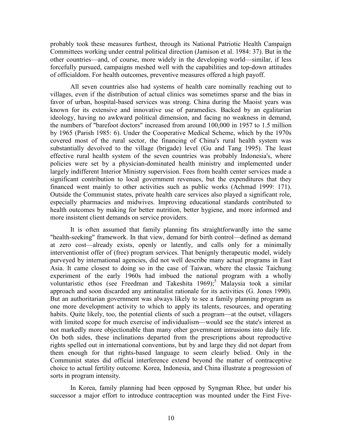probably took these measures furthest, through its National Patriotic Health Campaign Committees working under central political direction (Jamison et al. 1984: 37). But in the other countries—and, of course, more widely in the developing world—similar, if less forcefully pursued, campaigns meshed well with the capabilities and top-down attitudes of officialdom. For health outcomes, preventive measures offered a high payoff.

 All seven countries also had systems of health care nominally reaching out to villages, even if the distribution of actual clinics was sometimes sparse and the bias in favor of urban, hospital-based services was strong. China during the Maoist years was known for its extensive and innovative use of paramedics. Backed by an egalitarian ideology, having no awkward political dimension, and facing no weakness in demand, the numbers of "barefoot doctors" increased from around 100,000 in 1957 to 1.5 million by 1965 (Parish 1985: 6). Under the Cooperative Medical Scheme, which by the 1970s covered most of the rural sector, the financing of China's rural health system was substantially devolved to the village (brigade) level (Gu and Tang 1995). The least effective rural health system of the seven countries was probably Indonesia's, where policies were set by a physician-dominated health ministry and implemented under largely indifferent Interior Ministry supervision. Fees from health center services made a significant contribution to local government revenues, but the expenditures that they financed went mainly to other activities such as public works (Achmad 1999: 171). Outside the Communist states, private health care services also played a significant role, especially pharmacies and midwives. Improving educational standards contributed to health outcomes by making for better nutrition, better hygiene, and more informed and more insistent client demands on service providers.

 It is often assumed that family planning fits straightforwardly into the same "health-seeking" framework. In that view, demand for birth control—defined as demand at zero cost—already exists, openly or latently, and calls only for a minimally interventionist offer of (free) program services. That benignly therapeutic model, widely purveyed by international agencies, did not well describe many actual programs in East Asia. It came closest to doing so in the case of Taiwan, where the classic Taichung experiment of the early 1960s had imbued the national program with a wholly voluntaristic ethos (see Freedman and Takeshita  $1969$ );<sup>[5](#page-21-0)</sup> Malaysia took a similar approach and soon discarded any antinatalist rationale for its activities (G. Jones 1990). But an authoritarian government was always likely to see a family planning program as one more development activity to which to apply its talents, resources, and operating habits. Quite likely, too, the potential clients of such a program—at the outset, villagers with limited scope for much exercise of individualism—would see the state's interest as not markedly more objectionable than many other government intrusions into daily life. On both sides, these inclinations departed from the prescriptions about reproductive rights spelled out in international conventions, but by and large they did not depart from them enough for that rights-based language to seem clearly belied. Only in the Communist states did official interference extend beyond the matter of contraceptive choice to actual fertility outcome. Korea, Indonesia, and China illustrate a progression of sorts in program intensity.

 In Korea, family planning had been opposed by Syngman Rhee, but under his successor a major effort to introduce contraception was mounted under the First Five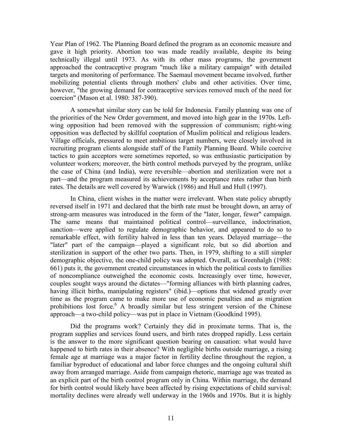Year Plan of 1962. The Planning Board defined the program as an economic measure and gave it high priority. Abortion too was made readily available, despite its being technically illegal until 1973. As with its other mass programs, the government approached the contraceptive program "much like a military campaign" with detailed targets and monitoring of performance. The Saemaul movement became involved, further mobilizing potential clients through mothers' clubs and other activities. Over time, however, "the growing demand for contraceptive services removed much of the need for coercion" (Mason et al. 1980: 387-390).

 A somewhat similar story can be told for Indonesia. Family planning was one of the priorities of the New Order government, and moved into high gear in the 1970s. Leftwing opposition had been removed with the suppression of communism; right-wing opposition was deflected by skillful cooptation of Muslim political and religious leaders. Village officials, pressured to meet ambitious target numbers, were closely involved in recruiting program clients alongside staff of the Family Planning Board. While coercive tactics to gain acceptors were sometimes reported, so was enthusiastic participation by volunteer workers; moreover, the birth control methods purveyed by the program, unlike the case of China (and India), were reversible—abortion and sterilization were not a part—and the program measured its achievements by acceptance rates rather than birth rates. The details are well covered by Warwick (1986) and Hull and Hull (1997).

 In China, client wishes in the matter were irrelevant. When state policy abruptly reversed itself in 1971 and declared that the birth rate must be brought down, an array of strong-arm measures was introduced in the form of the "later, longer, fewer" campaign. The same means that maintained political control—surveillance, indoctrination, sanction—were applied to regulate demographic behavior, and appeared to do so to remarkable effect, with fertility halved in less than ten years. Delayed marriage—the "later" part of the campaign—played a significant role, but so did abortion and sterilization in support of the other two parts. Then, in 1979, shifting to a still simpler demographic objective, the one-child policy was adopted. Overall, as Greenhalgh (1988: 661) puts it, the government created circumstances in which the political costs to families of noncompliance outweighed the economic costs. Increasingly over time, however, couples sought ways around the dictates—"forming alliances with birth planning cadres, having illicit births, manipulating registers" (ibid.)—options that widened greatly over time as the program came to make more use of economic penalties and as migration prohibitions lost force.<sup>[6](#page-21-0)</sup> A broadly similar but less stringent version of the Chinese approach—a two-child policy—was put in place in Vietnam (Goodkind 1995).

 Did the programs work? Certainly they did in proximate terms. That is, the program supplies and services found users, and birth rates dropped rapidly. Less certain is the answer to the more significant question bearing on causation: what would have happened to birth rates in their absence? With negligible births outside marriage, a rising female age at marriage was a major factor in fertility decline throughout the region, a familiar byproduct of educational and labor force changes and the ongoing cultural shift away from arranged marriage. Aside from campaign rhetoric, marriage age was treated as an explicit part of the birth control program only in China. Within marriage, the demand for birth control would likely have been affected by rising expectations of child survival: mortality declines were already well underway in the 1960s and 1970s. But it is highly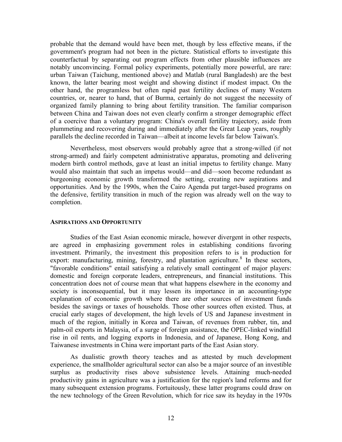probable that the demand would have been met, though by less effective means, if the government's program had not been in the picture. Statistical efforts to investigate this counterfactual by separating out program effects from other plausible influences are notably unconvincing. Formal policy experiments, potentially more powerful, are rare: urban Taiwan (Taichung, mentioned above) and Matlab (rural Bangladesh) are the best known, the latter bearing most weight and showing distinct if modest impact. On the other hand, the programless but often rapid past fertility declines of many Western countries, or, nearer to hand, that of Burma, certainly do not suggest the necessity of organized family planning to bring about fertility transition. The familiar comparison between China and Taiwan does not even clearly confirm a stronger demographic effect of a coercive than a voluntary program: China's overall fertility trajectory, aside from plummeting and recovering during and immediately after the Great Leap years, roughly parallels the decline recorded in Taiwan—albeit at income levels far below Taiwan's.<sup>[7](#page-21-0)</sup>

Nevertheless, most observers would probably agree that a strong-willed (if not strong-armed) and fairly competent administrative apparatus, promoting and delivering modern birth control methods, gave at least an initial impetus to fertility change. Many would also maintain that such an impetus would—and did—soon become redundant as burgeoning economic growth transformed the setting, creating new aspirations and opportunities. And by the 1990s, when the Cairo Agenda put target-based programs on the defensive, fertility transition in much of the region was already well on the way to completion.

#### **ASPIRATIONS AND OPPORTUNITY**

Studies of the East Asian economic miracle, however divergent in other respects, are agreed in emphasizing government roles in establishing conditions favoring investment. Primarily, the investment this proposition refers to is in production for export: manufacturing, mining, forestry, and plantation agriculture.<sup>[8](#page-21-0)</sup> In these sectors, "favorable conditions" entail satisfying a relatively small contingent of major players: domestic and foreign corporate leaders, entrepreneurs, and financial institutions. This concentration does not of course mean that what happens elsewhere in the economy and society is inconsequential, but it may lessen its importance in an accounting-type explanation of economic growth where there are other sources of investment funds besides the savings or taxes of households. Those other sources often existed. Thus, at crucial early stages of development, the high levels of US and Japanese investment in much of the region, initially in Korea and Taiwan, of revenues from rubber, tin, and palm-oil exports in Malaysia, of a surge of foreign assistance, the OPEC-linked windfall rise in oil rents, and logging exports in Indonesia, and of Japanese, Hong Kong, and Taiwanese investments in China were important parts of the East Asian story.

 As dualistic growth theory teaches and as attested by much development experience, the smallholder agricultural sector can also be a major source of an investible surplus as productivity rises above subsistence levels. Attaining much-needed productivity gains in agriculture was a justification for the region's land reforms and for many subsequent extension programs. Fortuitously, these latter programs could draw on the new technology of the Green Revolution, which for rice saw its heyday in the 1970s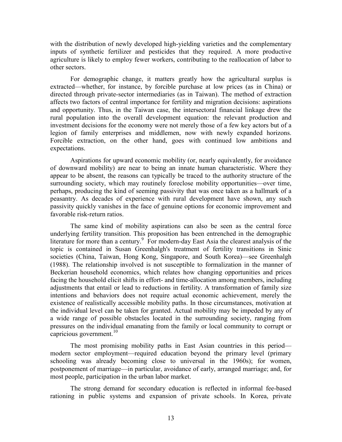with the distribution of newly developed high-yielding varieties and the complementary inputs of synthetic fertilizer and pesticides that they required. A more productive agriculture is likely to employ fewer workers, contributing to the reallocation of labor to other sectors.

 For demographic change, it matters greatly how the agricultural surplus is extracted—whether, for instance, by forcible purchase at low prices (as in China) or directed through private-sector intermediaries (as in Taiwan). The method of extraction affects two factors of central importance for fertility and migration decisions: aspirations and opportunity. Thus, in the Taiwan case, the intersectoral financial linkage drew the rural population into the overall development equation: the relevant production and investment decisions for the economy were not merely those of a few key actors but of a legion of family enterprises and middlemen, now with newly expanded horizons. Forcible extraction, on the other hand, goes with continued low ambitions and expectations.

 Aspirations for upward economic mobility (or, nearly equivalently, for avoidance of downward mobility) are near to being an innate human characteristic. Where they appear to be absent, the reasons can typically be traced to the authority structure of the surrounding society, which may routinely foreclose mobility opportunities—over time, perhaps, producing the kind of seeming passivity that was once taken as a hallmark of a peasantry. As decades of experience with rural development have shown, any such passivity quickly vanishes in the face of genuine options for economic improvement and favorable risk-return ratios.

 The same kind of mobility aspirations can also be seen as the central force underlying fertility transition. This proposition has been entrenched in the demographic literature for more than a century.<sup>[9](#page-22-0)</sup> For modern-day East Asia the clearest analysis of the topic is contained in Susan Greenhalgh's treatment of fertility transitions in Sinic societies (China, Taiwan, Hong Kong, Singapore, and South Korea)—see Greenhalgh (1988). The relationship involved is not susceptible to formalization in the manner of Beckerian household economics, which relates how changing opportunities and prices facing the household elicit shifts in effort- and time-allocation among members, including adjustments that entail or lead to reductions in fertility. A transformation of family size intentions and behaviors does not require actual economic achievement, merely the existence of realistically accessible mobility paths. In those circumstances, motivation at the individual level can be taken for granted. Actual mobility may be impeded by any of a wide range of possible obstacles located in the surrounding society, ranging from pressures on the individual emanating from the family or local community to corrupt or capricious government.<sup>[10](#page-22-0)</sup>

The most promising mobility paths in East Asian countries in this period modern sector employment—required education beyond the primary level (primary schooling was already becoming close to universal in the 1960s); for women, postponement of marriage—in particular, avoidance of early, arranged marriage; and, for most people, participation in the urban labor market.

 The strong demand for secondary education is reflected in informal fee-based rationing in public systems and expansion of private schools. In Korea, private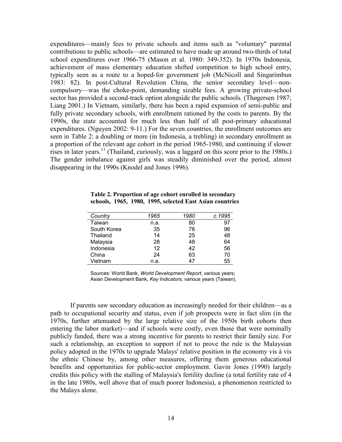expenditures—mainly fees to private schools and items such as "voluntary" parental contributions to public schools—are estimated to have made up around two-thirds of total school expenditures over 1966-75 (Mason et al. 1980: 349-352). In 1970s Indonesia, achievement of mass elementary education shifted competition to high school entry, typically seen as a route to a hoped-for government job (McNicoll and Singarimbun 1983: 82). In post-Cultural Revolution China, the senior secondary level—noncompulsory—was the choke-point, demanding sizable fees. A growing private-school sector has provided a second-track option alongside the public schools. (Thøgersen 1987; Liang 2001.) In Vietnam, similarly, there has been a rapid expansion of semi-public and fully private secondary schools, with enrollment rationed by the costs to parents. By the 1990s, the state accounted for much less than half of all post-primary educational expenditures. (Nguyen 2002: 9-11.) For the seven countries, the enrollment outcomes are seen in Table 2: a doubling or more (in Indonesia, a trebling) in secondary enrollment as a proportion of the relevant age cohort in the period 1965-1980, and continuing if slower rises in later years.<sup>11</sup> (Thailand, curiously, was a laggard on this score prior to the 1980s.) The gender imbalance against girls was steadily diminished over the period, almost disappearing in the 1990s (Knodel and Jones 1996).

**Table 2. Proportion of age cohort enrolled in secondary schools, 1965, 1980, 1995, selected East Asian countries**

| Country     | 1965 | 1980 | c.1995 |
|-------------|------|------|--------|
| Taiwan      | n.a. | 80   | 97     |
| South Korea | 35   | 76   | 96     |
| Thailand    | 14   | 25   | 48     |
| Malaysia    | 28   | 48   | 64     |
| Indonesia   | 12   | 42   | 56     |
| China       | 24   | 63   | 70     |
| Vietnam     | n.a. | 47   | 55     |

Sources: World Bank, *World Development Report*, various years; Asian Development Bank, *Key Indicators*, various years (Taiwan).

If parents saw secondary education as increasingly needed for their children—as a path to occupational security and status, even if job prospects were in fact slim (in the 1970s, further attenuated by the large relative size of the 1950s birth cohorts then entering the labor market)—and if schools were costly, even those that were nominally publicly funded, there was a strong incentive for parents to restrict their family size. For such a relationship, an exception to support if not to prove the rule is the Malaysian policy adopted in the 1970s to upgrade Malays' relative position in the economy vis à vis the ethnic Chinese by, among other measures, offering them generous educational benefits and opportunities for public-sector employment. Gavin Jones (1990) largely credits this policy with the stalling of Malaysia's fertility decline (a total fertility rate of 4 in the late 1980s, well above that of much poorer Indonesia), a phenomenon restricted to the Malays alone.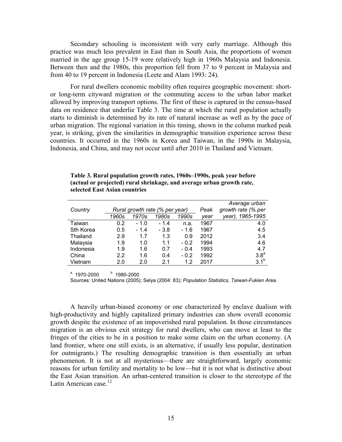Secondary schooling is inconsistent with very early marriage. Although this practice was much less prevalent in East than in South Asia, the proportions of women married in the age group 15-19 were relatively high in 1960s Malaysia and Indonesia. Between then and the 1980s, this proportion fell from 37 to 9 percent in Malaysia and from 40 to 19 percent in Indonesia (Leete and Alam 1993: 24).

 For rural dwellers economic mobility often requires geographic movement: shortor long-term cityward migration or the commuting access to the urban labor market allowed by improving transport options. The first of these is captured in the census-based data on residence that underlie Table 3. The time at which the rural population actually starts to diminish is determined by its rate of natural increase as well as by the pace of urban migration. The regional variation in this timing, shown in the column marked peak year, is striking, given the similarities in demographic transition experience across these countries. It occurred in the 1960s in Korea and Taiwan, in the 1990s in Malaysia, Indonesia, and China, and may not occur until after 2010 in Thailand and Vietnam.

**Table 3. Rural population growth rates, 1960s–1990s, peak year before (actual or projected) rural shrinkage, and average urban growth rate, selected East Asian countries** 

|           |                                |       |                |        |                    | Average urban       |
|-----------|--------------------------------|-------|----------------|--------|--------------------|---------------------|
| Country   | Rural growth rate (% per year) |       |                | Peak   | growth rate (% per |                     |
|           | 1960s                          | 1970s | 1980s          | 1990s  | year               | 1965-1995<br>year), |
| Taiwan    | 0.2                            | - 1.0 | $-1.4$         | n.a.   | 1967               | 4.0                 |
| Sth Korea | 0.5                            | - 1.4 | $-3.8$         | $-1.6$ | 1967               | 4.5                 |
| Thailand  | 2.9                            | 1.7   | 1.3            | 0.9    | 2012               | 3.4                 |
| Malaysia  | 1.9                            | 1.0   | 1.1            | $-0.2$ | 1994               | 4.6                 |
| Indonesia | 1.9                            | 1.6   | 0.7            | $-0.4$ | 1993               | 4.7                 |
| China     | 2.2                            | 1.6   | 0.4            | $-0.2$ | 1992               | 3.8 <sup>a</sup>    |
| Vietnam   | 2.0                            | 2.0   | 2 <sub>1</sub> | 12     | 2017               | 3.1 <sup>b</sup>    |

 $a$  1970-2000  $b$  1980-2000

Sources: United Nations (2005); Selya (2004: 83); *Population Statistics, Taiwan-Fukien Area*.

A heavily urban-biased economy or one characterized by enclave dualism with high-productivity and highly capitalized primary industries can show overall economic growth despite the existence of an impoverished rural population. In those circumstances migration is an obvious exit strategy for rural dwellers, who can move at least to the fringes of the cities to be in a position to make some claim on the urban economy. (A land frontier, where one still exists, is an alternative, if usually less popular, destination for outmigrants.) The resulting demographic transition is then essentially an urban phenomenon. It is not at all mysterious—there are straightforward, largely economic reasons for urban fertility and mortality to be low—but it is not what is distinctive about the East Asian transition. An urban-centered transition is closer to the stereotype of the Latin American case. $12$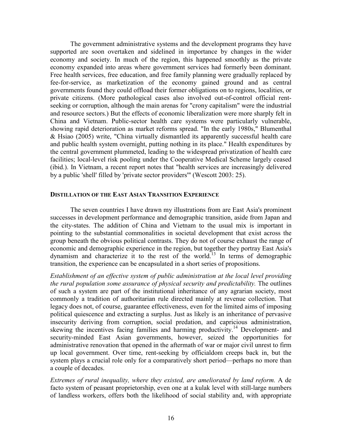The government administrative systems and the development programs they have supported are soon overtaken and sidelined in importance by changes in the wider economy and society. In much of the region, this happened smoothly as the private economy expanded into areas where government services had formerly been dominant. Free health services, free education, and free family planning were gradually replaced by fee-for-service, as marketization of the economy gained ground and as central governments found they could offload their former obligations on to regions, localities, or private citizens. (More pathological cases also involved out-of-control official rentseeking or corruption, although the main arenas for "crony capitalism" were the industrial and resource sectors.) But the effects of economic liberalization were more sharply felt in China and Vietnam. Public-sector health care systems were particularly vulnerable, showing rapid deterioration as market reforms spread. "In the early 1980s," Blumenthal & Hsiao (2005) write, "China virtually dismantled its apparently successful health care and public health system overnight, putting nothing in its place." Health expenditures by the central government plummeted, leading to the widespread privatization of health care facilities; local-level risk pooling under the Cooperative Medical Scheme largely ceased (ibid.). In Vietnam, a recent report notes that "health services are increasingly delivered by a public 'shell' filled by 'private sector providers'" (Wescott 2003: 25).

#### **DISTILLATION OF THE EAST ASIAN TRANSITION EXPERIENCE**

The seven countries I have drawn my illustrations from are East Asia's prominent successes in development performance and demographic transition, aside from Japan and the city-states. The addition of China and Vietnam to the usual mix is important in pointing to the substantial commonalities in societal development that exist across the group beneath the obvious political contrasts. They do not of course exhaust the range of economic and demographic experience in the region, but together they portray East Asia's dynamism and characterize it to the rest of the world.<sup>13</sup> In terms of demographic transition, the experience can be encapsulated in a short series of propositions.

*Establishment of an effective system of public administration at the local level providing the rural population some assurance of physical security and predictability.* The outlines of such a system are part of the institutional inheritance of any agrarian society, most commonly a tradition of authoritarian rule directed mainly at revenue collection. That legacy does not, of course, guarantee effectiveness, even for the limited aims of imposing political quiescence and extracting a surplus. Just as likely is an inheritance of pervasive insecurity deriving from corruption, social predation, and capricious administration, skewing the incentives facing families and harming productivity.<sup>14</sup> Development- and security-minded East Asian governments, however, seized the opportunities for administrative renovation that opened in the aftermath of war or major civil unrest to firm up local government. Over time, rent-seeking by officialdom creeps back in, but the system plays a crucial role only for a comparatively short period—perhaps no more than a couple of decades.

*Extremes of rural inequality, where they existed, are ameliorated by land reform.* A de facto system of peasant proprietorship, even one at a kulak level with still-large numbers of landless workers, offers both the likelihood of social stability and, with appropriate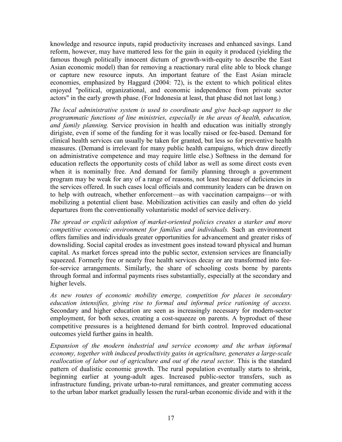knowledge and resource inputs, rapid productivity increases and enhanced savings. Land reform, however, may have mattered less for the gain in equity it produced (yielding the famous though politically innocent dictum of growth-with-equity to describe the East Asian economic model) than for removing a reactionary rural elite able to block change or capture new resource inputs. An important feature of the East Asian miracle economies, emphasized by Haggard (2004: 72), is the extent to which political elites enjoyed "political, organizational, and economic independence from private sector actors" in the early growth phase. (For Indonesia at least, that phase did not last long.)

*The local administrative system is used to coordinate and give back-up support to the programmatic functions of line ministries, especially in the areas of health, education, and family planning.* Service provision in health and education was initially strongly dirigiste, even if some of the funding for it was locally raised or fee-based. Demand for clinical health services can usually be taken for granted, but less so for preventive health measures. (Demand is irrelevant for many public health campaigns, which draw directly on administrative competence and may require little else.) Softness in the demand for education reflects the opportunity costs of child labor as well as some direct costs even when it is nominally free. And demand for family planning through a government program may be weak for any of a range of reasons, not least because of deficiencies in the services offered. In such cases local officials and community leaders can be drawn on to help with outreach, whether enforcement—as with vaccination campaigns—or with mobilizing a potential client base. Mobilization activities can easily and often do yield departures from the conventionally voluntaristic model of service delivery.

*The spread or explicit adoption of market-oriented policies creates a starker and more competitive economic environment for families and individuals.* Such an environment offers families and individuals greater opportunities for advancement and greater risks of downsliding. Social capital erodes as investment goes instead toward physical and human capital. As market forces spread into the public sector, extension services are financially squeezed. Formerly free or nearly free health services decay or are transformed into feefor-service arrangements. Similarly, the share of schooling costs borne by parents through formal and informal payments rises substantially, especially at the secondary and higher levels.

*As new routes of economic mobility emerge, competition for places in secondary education intensifies, giving rise to formal and informal price rationing of access.*  Secondary and higher education are seen as increasingly necessary for modern-sector employment, for both sexes, creating a cost-squeeze on parents. A byproduct of these competitive pressures is a heightened demand for birth control. Improved educational outcomes yield further gains in health.

*Expansion of the modern industrial and service economy and the urban informal economy, together with induced productivity gains in agriculture, generates a large-scale reallocation of labor out of agriculture and out of the rural sector.* This is the standard pattern of dualistic economic growth. The rural population eventually starts to shrink, beginning earlier at young-adult ages. Increased public-sector transfers, such as infrastructure funding, private urban-to-rural remittances, and greater commuting access to the urban labor market gradually lessen the rural-urban economic divide and with it the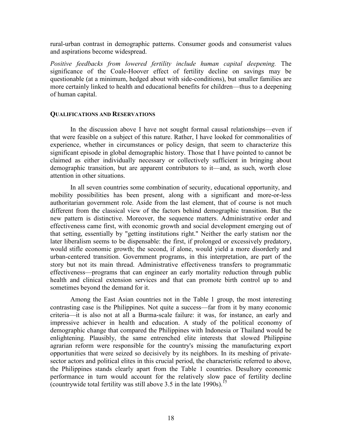rural-urban contrast in demographic patterns. Consumer goods and consumerist values and aspirations become widespread.

*Positive feedbacks from lowered fertility include human capital deepening.* The significance of the Coale-Hoover effect of fertility decline on savings may be questionable (at a minimum, hedged about with side-conditions), but smaller families are more certainly linked to health and educational benefits for children—thus to a deepening of human capital.

#### **QUALIFICATIONS AND RESERVATIONS**

In the discussion above I have not sought formal causal relationships—even if that were feasible on a subject of this nature. Rather, I have looked for commonalities of experience, whether in circumstances or policy design, that seem to characterize this significant episode in global demographic history. Those that I have pointed to cannot be claimed as either individually necessary or collectively sufficient in bringing about demographic transition, but are apparent contributors to it—and, as such, worth close attention in other situations.

 In all seven countries some combination of security, educational opportunity, and mobility possibilities has been present, along with a significant and more-or-less authoritarian government role. Aside from the last element, that of course is not much different from the classical view of the factors behind demographic transition. But the new pattern is distinctive. Moreover, the sequence matters. Administrative order and effectiveness came first, with economic growth and social development emerging out of that setting, essentially by "getting institutions right." Neither the early statism nor the later liberalism seems to be dispensable: the first, if prolonged or excessively predatory, would stifle economic growth; the second, if alone, would yield a more disorderly and urban-centered transition. Government programs, in this interpretation, are part of the story but not its main thread. Administrative effectiveness transfers to programmatic effectiveness—programs that can engineer an early mortality reduction through public health and clinical extension services and that can promote birth control up to and sometimes beyond the demand for it.

 Among the East Asian countries not in the Table 1 group, the most interesting contrasting case is the Philippines. Not quite a success—far from it by many economic criteria—it is also not at all a Burma-scale failure: it was, for instance, an early and impressive achiever in health and education. A study of the political economy of demographic change that compared the Philippines with Indonesia or Thailand would be enlightening. Plausibly, the same entrenched elite interests that slowed Philippine agrarian reform were responsible for the country's missing the manufacturing export opportunities that were seized so decisively by its neighbors. In its meshing of privatesector actors and political elites in this crucial period, the characteristic referred to above, the Philippines stands clearly apart from the Table 1 countries. Desultory economic performance in turn would account for the relatively slow pace of fertility decline (countrywide total fertility was still above  $3.5$  in the late 1990s).<sup>[15](#page-22-0)</sup>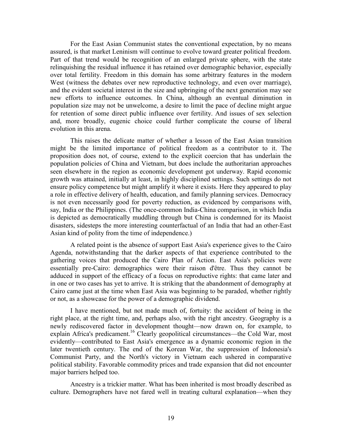For the East Asian Communist states the conventional expectation, by no means assured, is that market Leninism will continue to evolve toward greater political freedom. Part of that trend would be recognition of an enlarged private sphere, with the state relinquishing the residual influence it has retained over demographic behavior, especially over total fertility. Freedom in this domain has some arbitrary features in the modern West (witness the debates over new reproductive technology, and even over marriage), and the evident societal interest in the size and upbringing of the next generation may see new efforts to influence outcomes. In China, although an eventual diminution in population size may not be unwelcome, a desire to limit the pace of decline might argue for retention of some direct public influence over fertility. And issues of sex selection and, more broadly, eugenic choice could further complicate the course of liberal evolution in this arena.

 This raises the delicate matter of whether a lesson of the East Asian transition might be the limited importance of political freedom as a contributor to it. The proposition does not, of course, extend to the explicit coercion that has underlain the population policies of China and Vietnam, but does include the authoritarian approaches seen elsewhere in the region as economic development got underway. Rapid economic growth was attained, initially at least, in highly disciplined settings. Such settings do not ensure policy competence but might amplify it where it exists. Here they appeared to play a role in effective delivery of health, education, and family planning services. Democracy is not even necessarily good for poverty reduction, as evidenced by comparisons with, say, India or the Philippines. (The once-common India-China comparison, in which India is depicted as democratically muddling through but China is condemned for its Maoist disasters, sidesteps the more interesting counterfactual of an India that had an other-East Asian kind of polity from the time of independence.)

 A related point is the absence of support East Asia's experience gives to the Cairo Agenda, notwithstanding that the darker aspects of that experience contributed to the gathering voices that produced the Cairo Plan of Action. East Asia's policies were essentially pre-Cairo: demographics were their raison d'être. Thus they cannot be adduced in support of the efficacy of a focus on reproductive rights: that came later and in one or two cases has yet to arrive. It is striking that the abandonment of demography at Cairo came just at the time when East Asia was beginning to be paraded, whether rightly or not, as a showcase for the power of a demographic dividend.

 I have mentioned, but not made much of, fortuity: the accident of being in the right place, at the right time, and, perhaps also, with the right ancestry. Geography is a newly rediscovered factor in development thought—now drawn on, for example, to explain Africa's predicament.<sup>16</sup> Clearly geopolitical circumstances—the Cold War, most evidently—contributed to East Asia's emergence as a dynamic economic region in the later twentieth century. The end of the Korean War, the suppression of Indonesia's Communist Party, and the North's victory in Vietnam each ushered in comparative political stability. Favorable commodity prices and trade expansion that did not encounter major barriers helped too.

 Ancestry is a trickier matter. What has been inherited is most broadly described as culture. Demographers have not fared well in treating cultural explanation—when they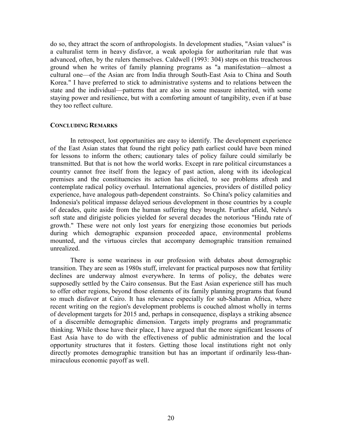<span id="page-21-0"></span>do so, they attract the scorn of anthropologists. In development studies, "Asian values" is a culturalist term in heavy disfavor, a weak apologia for authoritarian rule that was advanced, often, by the rulers themselves. Caldwell (1993: 304) steps on this treacherous ground when he writes of family planning programs as "a manifestation—almost a cultural one—of the Asian arc from India through South-East Asia to China and South Korea." I have preferred to stick to administrative systems and to relations between the state and the individual—patterns that are also in some measure inherited, with some staying power and resilience, but with a comforting amount of tangibility, even if at base they too reflect culture.

#### **CONCLUDING REMARKS**

In retrospect, lost opportunities are easy to identify. The development experience of the East Asian states that found the right policy path earliest could have been mined for lessons to inform the others; cautionary tales of policy failure could similarly be transmitted. But that is not how the world works. Except in rare political circumstances a country cannot free itself from the legacy of past action, along with its ideological premises and the constituencies its action has elicited, to see problems afresh and contemplate radical policy overhaul. International agencies, providers of distilled policy experience, have analogous path-dependent constraints. So China's policy calamities and Indonesia's political impasse delayed serious development in those countries by a couple of decades, quite aside from the human suffering they brought. Further afield, Nehru's soft state and dirigiste policies yielded for several decades the notorious "Hindu rate of growth." These were not only lost years for energizing those economies but periods during which demographic expansion proceeded apace, environmental problems mounted, and the virtuous circles that accompany demographic transition remained unrealized.

 There is some weariness in our profession with debates about demographic transition. They are seen as 1980s stuff, irrelevant for practical purposes now that fertility declines are underway almost everywhere. In terms of policy, the debates were supposedly settled by the Cairo consensus. But the East Asian experience still has much to offer other regions, beyond those elements of its family planning programs that found so much disfavor at Cairo. It has relevance especially for sub-Saharan Africa, where recent writing on the region's development problems is couched almost wholly in terms of development targets for 2015 and, perhaps in consequence, displays a striking absence of a discernible demographic dimension. Targets imply programs and programmatic thinking. While those have their place, I have argued that the more significant lessons of East Asia have to do with the effectiveness of public administration and the local opportunity structures that it fosters. Getting those local institutions right not only directly promotes demographic transition but has an important if ordinarily less-thanmiraculous economic payoff as well.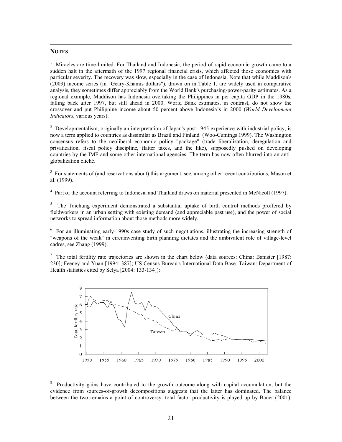#### <span id="page-22-0"></span>**NOTES**

<sup>1</sup> Miracles are time-limited. For Thailand and Indonesia, the period of rapid economic growth came to a sudden halt in the aftermath of the 1997 regional financial crisis, which affected those economies with particular severity. The recovery was slow, especially in the case of Indonesia. Note that while Maddison's (2003) income series (in "Geary-Khamis dollars"), drawn on in Table 1, are widely used in comparative analysis, they sometimes differ appreciably from the World Bank's purchasing-power-parity estimates. As a regional example, Maddison has Indonesia overtaking the Philippines in per capita GDP in the 1980s, falling back after 1997, but still ahead in 2000. World Bank estimates, in contrast, do not show the crossover and put Philippine income about 50 percent above Indonesia's in 2000 (*World Development Indicators*, various years).

<sup>2</sup> Developmentalism, originally an interpretation of Japan's post-1945 experience with industrial policy, is now a term applied to countries as dissimilar as Brazil and Finland (Woo-Cumings 1999). The Washington consensus refers to the neoliberal economic policy "package" (trade liberalization, deregulation and privatization, fiscal policy discipline, flatter taxes, and the like), supposedly pushed on developing countries by the IMF and some other international agencies. The term has now often blurred into an antiglobalization cliché.

<sup>3</sup> For statements of (and reservations about) this argument, see, among other recent contributions, Mason et al. (1999).

<sup>4</sup> Part of the account referring to Indonesia and Thailand draws on material presented in McNicoll (1997).

 $5$  The Taichung experiment demonstrated a substantial uptake of birth control methods proffered by fieldworkers in an urban setting with existing demand (and appreciable past use), and the power of social networks to spread information about those methods more widely.

<sup>6</sup> For an illuminating early-1990s case study of such negotiations, illustrating the increasing strength of "weapons of the weak" in circumventing birth planning dictates and the ambivalent role of village-level cadres, see Zhang (1999).

<sup>7</sup> The total fertility rate trajectories are shown in the chart below (data sources: China: Banister [1987: 230]; Feeney and Yuan [1994: 387]; US Census Bureau's International Data Base. Taiwan: Department of Health statistics cited by Selya [2004: 133-134]):



<sup>8</sup> Productivity gains have contributed to the growth outcome along with capital accumulation, but the evidence from sources-of-growth decompositions suggests that the latter has dominated. The balance between the two remains a point of controversy: total factor productivity is played up by Bauer (2001),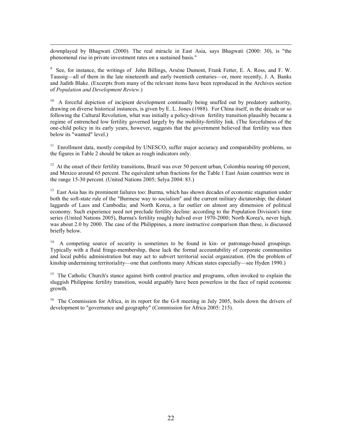downplayed by Bhagwati (2000). The real miracle in East Asia, says Bhagwati (2000: 30), is "the phenomenal rise in private investment rates on a sustained basis."

<sup>9</sup> See, for instance, the writings of John Billings, Arsène Dumont, Frank Fetter, E. A. Ross, and F. W. Taussig—all of them in the late nineteenth and early twentieth centuries—or, more recently, J. A. Banks and Judith Blake. (Excerpts from many of the relevant items have been reproduced in the Archives section of *Population and Development Review*.)

 $10$  A forceful depiction of incipient development continually being snuffed out by predatory authority, drawing on diverse historical instances, is given by E. L. Jones (1988). For China itself, in the decade or so following the Cultural Revolution, what was initially a policy-driven fertility transition plausibly became a regime of entrenched low fertility governed largely by the mobility-fertility link. (The forcefulness of the one-child policy in its early years, however, suggests that the government believed that fertility was then below its "wanted" level.)

 $11$  Enrollment data, mostly compiled by UNESCO, suffer major accuracy and comparability problems, so the figures in Table 2 should be taken as rough indicators only.

<sup>12</sup> At the onset of their fertility transitions, Brazil was over 50 percent urban, Colombia nearing 60 percent, and Mexico around 65 percent. The equivalent urban fractions for the Table 1 East Asian countries were in the range 15-30 percent. (United Nations 2005; Selya 2004: 83.)

 $13$  East Asia has its prominent failures too: Burma, which has shown decades of economic stagnation under both the soft-state rule of the "Burmese way to socialism" and the current military dictatorship; the distant laggards of Laos and Cambodia; and North Korea, a far outlier on almost any dimension of political economy. Such experience need not preclude fertility decline: according to the Population Division's time series (United Nations 2005), Burma's fertility roughly halved over 1970-2000; North Korea's, never high, was about 2.0 by 2000. The case of the Philippines, a more instructive comparison than these, is discussed briefly below.

<sup>14</sup> A competing source of security is sometimes to be found in kin- or patronage-based groupings. Typically with a fluid fringe-membership, these lack the formal accountability of corporate communities and local public administration but may act to subvert territorial social organization. (On the problem of kinship undermining territoriality—one that confronts many African states especially—see Hyden 1990.)

<sup>15</sup> The Catholic Church's stance against birth control practice and programs, often invoked to explain the sluggish Philippine fertility transition, would arguably have been powerless in the face of rapid economic growth.

<sup>16</sup> The Commission for Africa, in its report for the G-8 meeting in July 2005, boils down the drivers of development to "governance and geography" (Commission for Africa 2005: 215).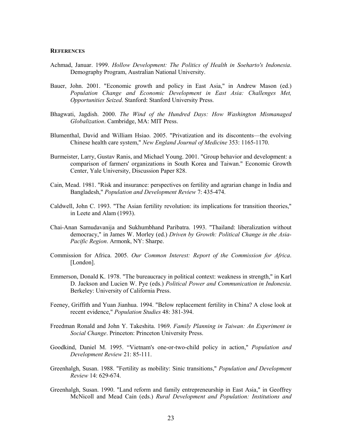#### **REFERENCES**

- Achmad, Januar. 1999. *Hollow Development: The Politics of Health in Soeharto's Indonesia*. Demography Program, Australian National University.
- Bauer, John. 2001. "Economic growth and policy in East Asia," in Andrew Mason (ed.) *Population Change and Economic Development in East Asia: Challenges Met, Opportunities Seized*. Stanford: Stanford University Press.
- Bhagwati, Jagdish. 2000. *The Wind of the Hundred Days: How Washington Mismanaged Globalization*. Cambridge, MA: MIT Press.
- Blumenthal, David and William Hsiao. 2005. "Privatization and its discontents—the evolving Chinese health care system," *New England Journal of Medicine* 353: 1165-1170.
- Burmeister, Larry, Gustav Ranis, and Michael Young. 2001. "Group behavior and development: a comparison of farmers' organizations in South Korea and Taiwan." Economic Growth Center, Yale University, Discussion Paper 828.
- Cain, Mead. 1981. "Risk and insurance: perspectives on fertility and agrarian change in India and Bangladesh," *Population and Development Review* 7: 435-474.
- Caldwell, John C. 1993. "The Asian fertility revolution: its implications for transition theories," in Leete and Alam (1993).
- Chai-Anan Samudavanija and Sukhumbhand Paribatra. 1993. "Thailand: liberalization without democracy," in James W. Morley (ed.) *Driven by Growth: Political Change in the Asia-Pacific Region*. Armonk, NY: Sharpe.
- Commission for Africa. 2005. *Our Common Interest: Report of the Commission for Africa*. [London].
- Emmerson, Donald K. 1978. "The bureaucracy in political context: weakness in strength," in Karl D. Jackson and Lucien W. Pye (eds.) *Political Power and Communication in Indonesia*. Berkeley: University of California Press.
- Feeney, Griffith and Yuan Jianhua. 1994. "Below replacement fertility in China? A close look at recent evidence," *Population Studies* 48: 381-394.
- Freedman Ronald and John Y. Takeshita. 1969. *Family Planning in Taiwan: An Experiment in Social Change*. Princeton: Princeton University Press.
- Goodkind, Daniel M. 1995. "Vietnam's one-or-two-child policy in action," *Population and Development Review* 21: 85-111.
- Greenhalgh, Susan. 1988. "Fertility as mobility: Sinic transitions," *Population and Development Review* 14: 629-674.
- Greenhalgh, Susan. 1990. "Land reform and family entrepreneurship in East Asia," in Geoffrey McNicoll and Mead Cain (eds.) *Rural Development and Population: Institutions and*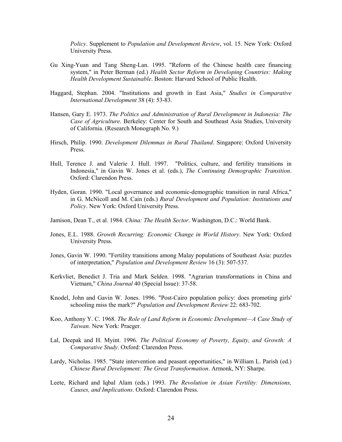*Policy*. Supplement to *Population and Development Review*, vol. 15. New York: Oxford University Press.

- Gu Xing-Yuan and Tang Sheng-Lan. 1995. "Reform of the Chinese health care financing system," in Peter Berman (ed.) *Health Sector Reform in Developing Countries: Making Health Development Sustainable*. Boston: Harvard School of Public Health.
- Haggard, Stephan. 2004. "Institutions and growth in East Asia," *Studies in Comparative International Development* 38 (4): 53-83.
- Hansen, Gary E. 1973. *The Politics and Administration of Rural Development in Indonesia: The Case of Agriculture*. Berkeley: Center for South and Southeast Asia Studies, University of California. (Research Monograph No. 9.)
- Hirsch, Philip. 1990. *Development Dilemmas in Rural Thailand*. Singapore: Oxford University Press.
- Hull, Terence J. and Valerie J. Hull. 1997. "Politics, culture, and fertility transitions in Indonesia," in Gavin W. Jones et al. (eds.), *The Continuing Demographic Transition*. Oxford: Clarendon Press.
- Hyden, Goran. 1990. "Local governance and economic-demographic transition in rural Africa," in G. McNicoll and M. Cain (eds.) *Rural Development and Population: Institutions and Policy*. New York: Oxford University Press.
- Jamison, Dean T., et al. 1984. *China: The Health Sector*. Washington, D.C.: World Bank.
- Jones, E.L. 1988. *Growth Recurring: Economic Change in World History*. New York: Oxford University Press.
- Jones, Gavin W. 1990. "Fertility transitions among Malay populations of Southeast Asia: puzzles of interpretation," *Population and Development Review* 16 (3): 507-537.
- Kerkvliet, Benedict J. Tria and Mark Selden. 1998. "Agrarian transformations in China and Vietnam," *China Journal* 40 (Special Issue): 37-58.
- Knodel, John and Gavin W. Jones. 1996. "Post-Cairo population policy: does promoting girls' schooling miss the mark?" *Population and Development Review* 22: 683-702.
- Koo, Anthony Y. C. 1968. *The Role of Land Reform in Economic Development—A Case Study of Taiwan*. New York: Praeger.
- Lal, Deepak and H. Myint. 1996. *The Political Economy of Poverty, Equity, and Growth: A Comparative Study*. Oxford: Clarendon Press.
- Lardy, Nicholas. 1985. "State intervention and peasant opportunities," in William L. Parish (ed.) *Chinese Rural Development: The Great Transformation*. Armonk, NY: Sharpe.
- Leete, Richard and Iqbal Alam (eds.) 1993. *The Revolution in Asian Fertility: Dimensions, Causes, and Implications*. Oxford: Clarendon Press.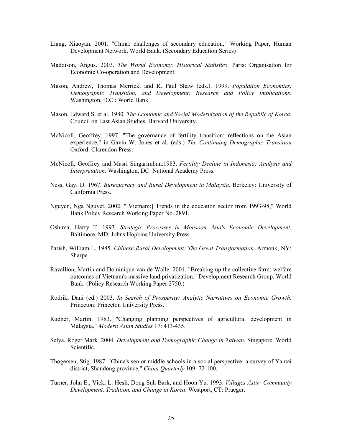- Liang, Xiaoyan. 2001. "China: challenges of secondary education." Working Paper, Human Development Network, World Bank. (Secondary Education Series)
- Maddison, Angus. 2003. *The World Economy: Historical Statistics*. Paris: Organisation for Economic Co-operation and Development.
- Mason, Andrew, Thomas Merrick, and R. Paul Shaw (eds.). 1999. *Population Economics, Demographic Transition, and Development: Research and Policy Implications*. Washington, D.C.: World Bank.
- Mason, Edward S. et al. 1980. *The Economic and Social Modernization of the Republic of Korea*. Council on East Asian Studies, Harvard University.
- McNicoll, Geoffrey. 1997. "The governance of fertility transition: reflections on the Asian experience," in Gavin W. Jones et al. (eds.) *The Continuing Demographic Transition* Oxford: Clarendon Press.
- McNicoll, Geoffrey and Masri Singarimbun.1983. *Fertility Decline in Indonesia: Analysis and Interpretation*. Washington, DC: National Academy Press.
- Ness, Gayl D. 1967. *Bureaucracy and Rural Development in Malaysia*. Berkeley: University of California Press.
- Nguyen, Nga Nguyet. 2002. "[Vietnam:] Trends in the education sector from 1993-98," World Bank Policy Research Working Paper No. 2891.
- Oshima, Harry T. 1993. *Strategic Processes in Monsoon Asia's Economic Development.* Baltimore, MD: Johns Hopkins University Press.
- Parish, William L. 1985. *Chinese Rural Development: The Great Transformation*. Armonk, NY: Sharpe.
- Ravallion, Martin and Dominique van de Walle. 2001. "Breaking up the collective farm: welfare outcomes of Vietnam's massive land privatization." Development Research Group, World Bank. (Policy Research Working Paper 2750.)
- Rodrik, Dani (ed.) 2003. *In Search of Prosperity: Analytic Narratives on Economic Growth*. Princeton: Princeton University Press.
- Rudner, Martin. 1983. "Changing planning perspectives of agricultural development in Malaysia," *Modern Asian Studies* 17: 413-435.
- Selya, Roger Mark. 2004. *Development and Demographic Change in Taiwan*. Singapore: World Scientific.
- Thøgersen, Stig. 1987. "China's senior middle schools in a social perspective: a survey of Yantai district, Shandong province," *China Quarterly* 109: 72-100.
- Turner, John E., Vicki L. Hesli, Dong Suh Bark, and Hoon Yu. 1993. *Villages Astir: Community Development, Tradition, and Change in Korea*. Westport, CT: Praeger.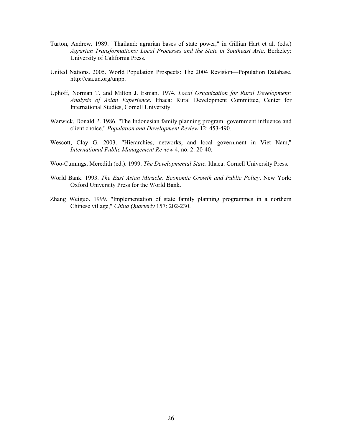- Turton, Andrew. 1989. "Thailand: agrarian bases of state power," in Gillian Hart et al. (eds.) *Agrarian Transformations: Local Processes and the State in Southeast Asia*. Berkeley: University of California Press.
- United Nations. 2005. World Population Prospects: The 2004 Revision—Population Database. http://esa.un.org/unpp.
- Uphoff, Norman T. and Milton J. Esman. 1974. *Local Organization for Rural Development: Analysis of Asian Experience*. Ithaca: Rural Development Committee, Center for International Studies, Cornell University.
- Warwick, Donald P. 1986. "The Indonesian family planning program: government influence and client choice," *Population and Development Review* 12: 453-490.
- Wescott, Clay G. 2003. "Hierarchies, networks, and local government in Viet Nam," *International Public Management Review* 4, no. 2: 20-40.
- Woo-Cumings, Meredith (ed.). 1999. *The Developmental State*. Ithaca: Cornell University Press.
- World Bank. 1993. *The East Asian Miracle: Economic Growth and Public Policy*. New York: Oxford University Press for the World Bank.
- Zhang Weiguo. 1999. "Implementation of state family planning programmes in a northern Chinese village," *China Quarterly* 157: 202-230.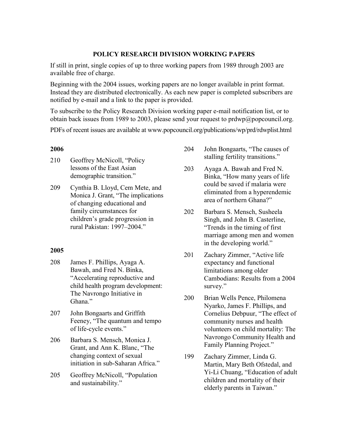### **POLICY RESEARCH DIVISION WORKING PAPERS**

If still in print, single copies of up to three working papers from 1989 through 2003 are available free of charge.

Beginning with the 2004 issues, working papers are no longer available in print format. Instead they are distributed electronically. As each new paper is completed subscribers are notified by e-mail and a link to the paper is provided.

To subscribe to the Policy Research Division working paper e-mail notification list, or to obtain back issues from 1989 to 2003, please send your request to [prdwp@popcouncil.org.](mailto:prdwp@popcouncil.org)

PDFs of recent issues are available at www.popcouncil.org/publications/wp/prd/rdwplist.html

#### **2006**

- 210 Geoffrey McNicoll, "Policy lessons of the East Asian demographic transition."
- 209 Cynthia B. Lloyd, Cem Mete, and Monica J. Grant, "The implications of changing educational and family circumstances for children's grade progression in rural Pakistan: 1997–2004."

## **2005**

- 208 James F. Phillips, Ayaga A. Bawah, and Fred N. Binka, "Accelerating reproductive and child health program development: The Navrongo Initiative in Ghana."
- 207 John Bongaarts and Griffith Feeney, "The quantum and tempo of life-cycle events."
- 206 Barbara S. Mensch, Monica J. Grant, and Ann K. Blanc, "The changing context of sexual initiation in sub-Saharan Africa."
- 205 Geoffrey McNicoll, "Population and sustainability."
- 204 John Bongaarts, "The causes of stalling fertility transitions."
- 203 Ayaga A. Bawah and Fred N. Binka, "How many years of life could be saved if malaria were eliminated from a hyperendemic area of northern Ghana?"
- 202 Barbara S. Mensch, Susheela Singh, and John B. Casterline, "Trends in the timing of first marriage among men and women in the developing world."
- 201 Zachary Zimmer, "Active life expectancy and functional limitations among older Cambodians: Results from a 2004 survey."
- 200 Brian Wells Pence, Philomena Nyarko, James F. Phillips, and Cornelius Debpuur, "The effect of community nurses and health volunteers on child mortality: The Navrongo Community Health and Family Planning Project."
- 199 Zachary Zimmer, Linda G. Martin, Mary Beth Ofstedal, and Yi-Li Chuang, "Education of adult children and mortality of their elderly parents in Taiwan."